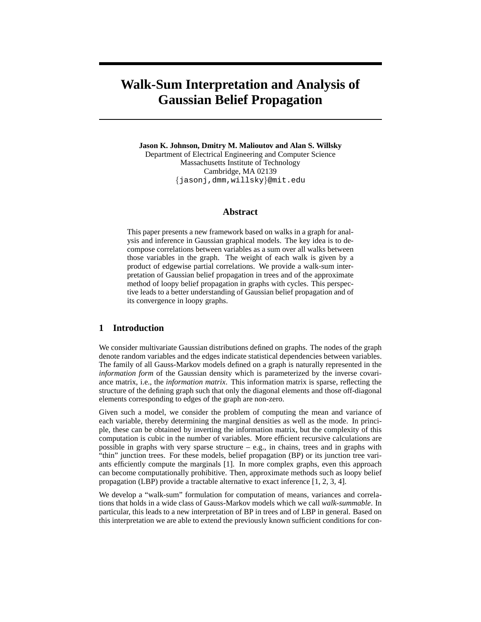# **Walk-Sum Interpretation and Analysis of Gaussian Belief Propagation**

**Jason K. Johnson, Dmitry M. Malioutov and Alan S. Willsky** Department of Electrical Engineering and Computer Science Massachusetts Institute of Technology Cambridge, MA 02139 {jasonj,dmm,willsky}@mit.edu

### **Abstract**

This paper presents a new framework based on walks in a graph for analysis and inference in Gaussian graphical models. The key idea is to decompose correlations between variables as a sum over all walks between those variables in the graph. The weight of each walk is given by a product of edgewise partial correlations. We provide a walk-sum interpretation of Gaussian belief propagation in trees and of the approximate method of loopy belief propagation in graphs with cycles. This perspective leads to a better understanding of Gaussian belief propagation and of its convergence in loopy graphs.

# **1 Introduction**

We consider multivariate Gaussian distributions defined on graphs. The nodes of the graph denote random variables and the edges indicate statistical dependencies between variables. The family of all Gauss-Markov models defined on a graph is naturally represented in the *information form* of the Gaussian density which is parameterized by the inverse covariance matrix, i.e., the *information matrix*. This information matrix is sparse, reflecting the structure of the defining graph such that only the diagonal elements and those off-diagonal elements corresponding to edges of the graph are non-zero.

Given such a model, we consider the problem of computing the mean and variance of each variable, thereby determining the marginal densities as well as the mode. In principle, these can be obtained by inverting the information matrix, but the complexity of this computation is cubic in the number of variables. More efficient recursive calculations are possible in graphs with very sparse structure  $-e.g.,$  in chains, trees and in graphs with "thin" junction trees. For these models, belief propagation (BP) or its junction tree variants efficiently compute the marginals [1]. In more complex graphs, even this approach can become computationally prohibitive. Then, approximate methods such as loopy belief propagation (LBP) provide a tractable alternative to exact inference [1, 2, 3, 4].

We develop a "walk-sum" formulation for computation of means, variances and correlations that holds in a wide class of Gauss-Markov models which we call *walk-summable*. In particular, this leads to a new interpretation of BP in trees and of LBP in general. Based on this interpretation we are able to extend the previously known sufficient conditions for con-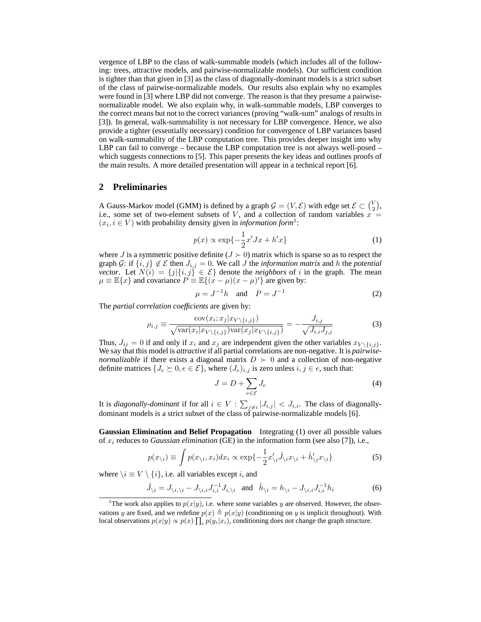vergence of LBP to the class of walk-summable models (which includes all of the following: trees, attractive models, and pairwise-normalizable models). Our sufficient condition is tighter than that given in [3] as the class of diagonally-dominant models is a strict subset of the class of pairwise-normalizable models. Our results also explain why no examples were found in [3] where LBP did not converge. The reason is that they presume a pairwisenormalizable model. We also explain why, in walk-summable models, LBP converges to the correct means but not to the correct variances (proving "walk-sum" analogs of results in [3]). In general, walk-summability is not necessary for LBP convergence. Hence, we also provide a tighter (essentially necessary) condition for convergence of LBP variances based on walk-summability of the LBP computation tree. This provides deeper insight into why LBP can fail to converge – because the LBP computation tree is not always well-posed – which suggests connections to [5]. This paper presents the key ideas and outlines proofs of the main results. A more detailed presentation will appear in a technical report [6].

## **2 Preliminaries**

A Gauss-Markov model (GMM) is defined by a graph  $\mathcal{G} = (V, \mathcal{E})$  with edge set  $\mathcal{E} \subset {V \choose 2}$  $_{2}^{\nu}),$ i.e., some set of two-element subsets of V, and a collection of random variables  $x =$  $(x_i, i \in V)$  with probability density given in *information form*<sup>1</sup>:

$$
p(x) \propto \exp\{-\frac{1}{2}x'Jx + h'x\} \tag{1}
$$

where J is a symmetric positive definite  $(J \succ 0)$  matrix which is sparse so as to respect the graph G: if  $\{i, j\} \notin \mathcal{E}$  then  $J_{i,j} = 0$ . We call J the *information matrix* and h the potential *vector.* Let  $N(i) = \{j | \{i, j\} \in \mathcal{E}\}\$  denote the *neighbors* of i in the graph. The mean  $\mu \equiv \mathbb{E}\{x\}$  and covariance  $P \equiv \mathbb{E}\{(x - \mu)(x - \mu)'\}$  are given by:

$$
\mu = J^{-1}h \quad \text{and} \quad P = J^{-1} \tag{2}
$$

The *partial correlation coefficients* are given by:

$$
\rho_{i,j} \equiv \frac{\text{cov}(x_i; x_j | x_{V \setminus \{i,j\}})}{\sqrt{\text{var}(x_i | x_{V \setminus \{i,j\}}) \text{var}(x_j | x_{V \setminus \{i,j\}})}} = -\frac{J_{i,j}}{\sqrt{J_{i,i} J_{j,j}}}
$$
(3)

Thus,  $J_{ij} = 0$  if and only if  $x_i$  and  $x_j$  are independent given the other variables  $x_{V \setminus \{i,j\}}$ . We say that this model is *attractive* if all partial correlations are non-negative. It is *pairwisenormalizable* if there exists a diagonal matrix  $D \succ 0$  and a collection of non-negative definite matrices  $\{J_e \succeq 0, e \in \mathcal{E}\}$ , where  $(J_e)_{i,j}$  is zero unless  $i, j \in e$ , such that:

$$
J = D + \sum_{e \in \mathcal{E}} J_e \tag{4}
$$

It is *diagonally-dominant* if for all  $i \in V : \sum_{j \neq i} |J_{i,j}| < J_{i,i}$ . The class of diagonallydominant models is a strict subset of the class of pairwise-normalizable models [6].

**Gaussian Elimination and Belief Propagation** Integrating (1) over all possible values of  $x_i$  reduces to *Gaussian elimination* (GE) in the information form (see also [7]), i.e.,

$$
p(x_{\backslash i}) \equiv \int p(x_{\backslash i}, x_i) dx_i \propto \exp\{-\frac{1}{2}x'_{\backslash i}\hat{J}_{\backslash i}x_{\backslash i} + \hat{h}'_{\backslash i}x_{\backslash i}\}\
$$
(5)

where  $\{i \equiv V \setminus \{i\}\}$ , i.e. all variables except i, and

$$
\hat{J}_{\backslash i} = J_{\backslash i, \backslash i} - J_{\backslash i, i} J_{i, i}^{-1} J_{i, \backslash i} \text{ and } \hat{h}_{\backslash i} = h_{\backslash i} - J_{\backslash i, i} J_{i, i}^{-1} h_i
$$
\n(6)

<sup>&</sup>lt;sup>1</sup>The work also applies to  $p(x|y)$ , i.e. where some variables y are observed. However, the observations y are fixed, and we redefine  $p(x) \triangleq p(x|y)$  (conditioning on y is implicit throughout). With local observations  $p(x|y) \propto p(x) \prod_i p(y_i|x_i)$ , conditioning does not change the graph structure.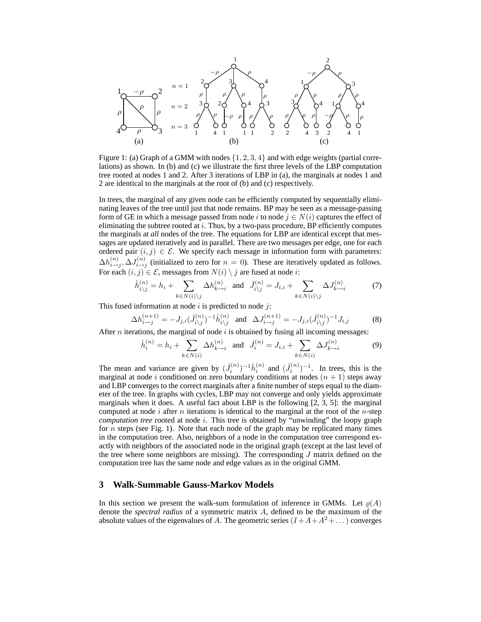

Figure 1: (a) Graph of a GMM with nodes  $\{1, 2, 3, 4\}$  and with edge weights (partial correlations) as shown. In (b) and (c) we illustrate the first three levels of the LBP computation tree rooted at nodes 1 and 2. After 3 iterations of LBP in (a), the marginals at nodes 1 and 2 are identical to the marginals at the root of (b) and (c) respectively.

In trees, the marginal of any given node can be efficiently computed by sequentially eliminating leaves of the tree until just that node remains. BP may be seen as a message-passing form of GE in which a message passed from node i to node  $j \in N(i)$  captures the effect of eliminating the subtree rooted at  $i$ . Thus, by a two-pass procedure, BP efficiently computes the marginals at *all* nodes of the tree. The equations for LBP are identical except that messages are updated iteratively and in parallel. There are two messages per edge, one for each ordered pair  $(i, j) \in \mathcal{E}$ . We specify each message in information form with parameters:  $\Delta h_{i\to j}^{(n)}$ ,  $\Delta J_{i\to j}^{(n)}$  (initialized to zero for  $n = 0$ ). These are iteratively updated as follows. For each  $(i, j) \in \mathcal{E}$ , messages from  $N(i) \setminus j$  are fused at node *i*:

$$
\hat{h}_{i \backslash j}^{(n)} = h_i + \sum_{k \in N(i) \backslash j} \Delta h_{k \to i}^{(n)} \text{ and } \hat{J}_{i \backslash j}^{(n)} = J_{i,i} + \sum_{k \in N(i) \backslash j} \Delta J_{k \to i}^{(n)} \tag{7}
$$

This fused information at node  $i$  is predicted to node  $j$ :

$$
\Delta h_{i \to j}^{(n+1)} = -J_{j,i}(\hat{J}_{i \setminus j}^{(n)})^{-1} \hat{h}_{i \setminus j}^{(n)} \text{ and } \Delta J_{i \to j}^{(n+1)} = -J_{j,i}(\hat{J}_{i \setminus j}^{(n)})^{-1} J_{i,j} \tag{8}
$$

After  $n$  iterations, the marginal of node  $i$  is obtained by fusing all incoming messages:

$$
\hat{h}_i^{(n)} = h_i + \sum_{k \in N(i)} \Delta h_{k \to i}^{(n)} \text{ and } \hat{J}_i^{(n)} = J_{i,i} + \sum_{k \in N(i)} \Delta J_{k \to i}^{(n)} \tag{9}
$$

The mean and variance are given by  $(\hat{J}_i^{(n)})^{-1} \hat{h}_i^{(n)}$  and  $(\hat{J}_i^{(n)})^{-1}$ . In trees, this is the marginal at node i conditioned on zero boundary conditions at nodes  $(n + 1)$  steps away and LBP converges to the correct marginals after a finite number of steps equal to the diameter of the tree. In graphs with cycles, LBP may not converge and only yields approximate marginals when it does. A useful fact about LBP is the following [2, 3, 5]: the marginal computed at node i after n iterations is identical to the marginal at the root of the n-step *computation tree* rooted at node i. This tree is obtained by "unwinding" the loopy graph for *n* steps (see Fig. 1). Note that each node of the graph may be replicated many times in the computation tree. Also, neighbors of a node in the computation tree correspond exactly with neighbors of the associated node in the original graph (except at the last level of the tree where some neighbors are missing). The corresponding  $J$  matrix defined on the computation tree has the same node and edge values as in the original GMM.

### **3 Walk-Summable Gauss-Markov Models**

In this section we present the walk-sum formulation of inference in GMMs. Let  $\rho(A)$ denote the *spectral radius* of a symmetric matrix A, defined to be the maximum of the absolute values of the eigenvalues of A. The geometric series  $(I + A + A^2 + ...)$  converges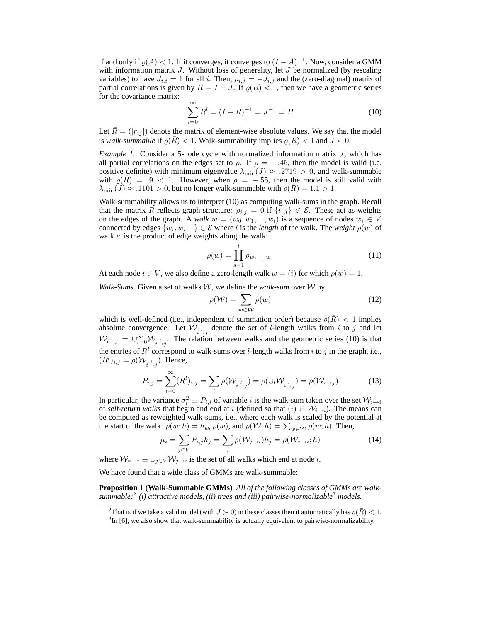if and only if  $\varrho(A) < 1$ . If it converges, it converges to  $(I - A)^{-1}$ . Now, consider a GMM with information matrix  $J$ . Without loss of generality, let  $J$  be normalized (by rescaling variables) to have  $J_{i,i} = 1$  for all i. Then,  $\rho_{i,j} = -J_{i,j}$  and the (zero-diagonal) matrix of partial correlations is given by  $R = I - J$ . If  $\varrho(R) < 1$ , then we have a geometric series for the covariance matrix:

$$
\sum_{l=0}^{\infty} R^l = (I - R)^{-1} = J^{-1} = P \tag{10}
$$

Let  $\bar{R} = (|r_{ij}|)$  denote the matrix of element-wise absolute values. We say that the model is *walk-summable* if  $\rho(\overline{R}) < 1$ . Walk-summability implies  $\rho(R) < 1$  and  $J > 0$ .

*Example 1.* Consider a 5-node cycle with normalized information matrix J, which has all partial correlations on the edges set to  $\rho$ . If  $\rho = -.45$ , then the model is valid (i.e. positive definite) with minimum eigenvalue  $\lambda_{\min}(J) \approx .2719 > 0$ , and walk-summable with  $\rho(R) = .9 < 1$ . However, when  $\rho = -.55$ , then the model is still valid with  $\lambda_{\min}(J) \approx .1101 > 0$ , but no longer walk-summable with  $\rho(R) = 1.1 > 1$ .

Walk-summability allows us to interpret (10) as computing walk-sums in the graph. Recall that the matrix R reflects graph structure:  $\rho_{i,j} = 0$  if  $\{i, j\} \notin \mathcal{E}$ . These act as weights on the edges of the graph. A *walk*  $w = (w_0, w_1, ..., w_l)$  is a sequence of nodes  $w_i \in V$ connected by edges  $\{w_i, w_{i+1}\}\in \mathcal{E}$  where l is the length of the walk. The *weight*  $\rho(w)$  of walk  $w$  is the product of edge weights along the walk:

$$
\rho(w) = \prod_{s=1}^{l} \rho_{w_{s-1}, w_s}
$$
\n(11)

At each node  $i \in V$ , we also define a zero-length walk  $w = (i)$  for which  $\rho(w) = 1$ .

*Walk-Sums.* Given a set of walks W, we define the *walk-sum* over W by

$$
\rho(\mathcal{W}) = \sum_{w \in \mathcal{W}} \rho(w) \tag{12}
$$

which is well-defined (i.e., independent of summation order) because  $\rho(\bar{R}) < 1$  implies absolute convergence. Let  $W_{i \to j}$  denote the set of *l*-length walks from *i* to *j* and let  $W_{i\to j} = \bigcup_{l=0}^{\infty} W_{i\to j}$ . The relation between walks and the geometric series (10) is that the entries of  $R^l$  correspond to walk-sums over *l*-length walks from *i* to *j* in the graph, i.e.,  $(R^{l})_{i,j} = \rho(W_{i \rightarrow j})$ . Hence,

$$
P_{i,j} = \sum_{l=0}^{\infty} (R^l)_{i,j} = \sum_{l} \rho(\mathcal{W}_{i \to j}) = \rho(\cup_l \mathcal{W}_{i \to j}) = \rho(\mathcal{W}_{i \to j})
$$
(13)

In particular, the variance  $\sigma_i^2 \equiv P_{i,i}$  of variable i is the walk-sum taken over the set  $\mathcal{W}_{i\to i}$ of *self-return walks* that begin and end at i (defined so that  $(i) \in W_{i \to i}$ ). The means can be computed as reweighted walk-sums, i.e., where each walk is scaled by the potential at the start of the walk:  $\rho(w; h) = h_{w_0} \rho(w)$ , and  $\rho(W; h) = \sum_{w \in W} \rho(w; h)$ . Then,

$$
\mu_i = \sum_{j \in V} P_{i,j} h_j = \sum_j \rho(\mathcal{W}_{j \to i}) h_j = \rho(\mathcal{W}_{* \to i}; h)
$$
\n(14)

where  $W_{\ast\to i} \equiv \cup_{j\in V} \mathcal{W}_{j\to i}$  is the set of all walks which end at node *i*.

We have found that a wide class of GMMs are walk-summable:

**Proposition 1 (Walk-Summable GMMs)** *All of the following classes of GMMs are walksummable:*<sup>2</sup> *(i) attractive models, (ii) trees and (iii) pairwise-normalizable*<sup>3</sup> *models.*

<sup>&</sup>lt;sup>2</sup>That is if we take a valid model (with  $J \succ 0$ ) in these classes then it automatically has  $\rho(\bar{R}) < 1$ .

 $3$ In [6], we also show that walk-summability is actually equivalent to pairwise-normalizability.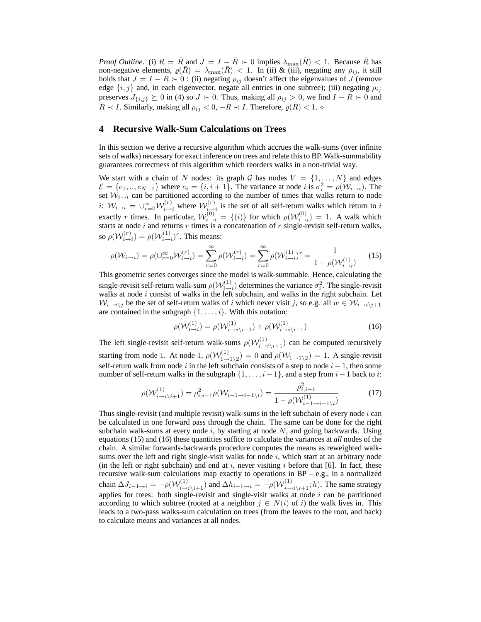*Proof Outline.* (i)  $R = \overline{R}$  and  $J = I - \overline{R} > 0$  implies  $\lambda_{\text{max}}(\overline{R}) < 1$ . Because  $\overline{R}$  has non-negative elements,  $\rho(R) = \lambda_{\text{max}}(R) < 1$ . In (ii) & (iii), negating any  $\rho_{ij}$ , it still holds that  $J = I - R \succ 0$ : (ii) negating  $\rho_{ij}$  doesn't affect the eigenvalues of J (remove edge  $\{i, j\}$  and, in each eigenvector, negate all entries in one subtree); (iii) negating  $\rho_{ij}$ preserves  $J_{\{i,j\}} \succeq 0$  in (4) so  $J \succ 0$ . Thus, making all  $\rho_{ij} > 0$ , we find  $I - \bar{R} \succ 0$  and  $\bar{R} \prec I$ . Similarly, making all  $\rho_{ij} < 0, -\bar{R} \prec I$ . Therefore,  $\varrho(\bar{R}) < 1$ .  $\diamond$ 

## **4 Recursive Walk-Sum Calculations on Trees**

In this section we derive a recursive algorithm which accrues the walk-sums (over infinite sets of walks) necessary for exact inference on trees and relate this to BP. Walk-summability guarantees correctness of this algorithm which reorders walks in a non-trivial way.

We start with a chain of N nodes: its graph G has nodes  $V = \{1, \ldots, N\}$  and edges  $\mathcal{E} = \{e_1, ..., e_{N-1}\}\$  where  $e_i = \{i, i+1\}$ . The variance at node i is  $\sigma_i^2 = \rho(\mathcal{W}_{i \to i})$ . The set  $W_{i\rightarrow i}$  can be partitioned according to the number of times that walks return to node i:  $W_{i\to i} = \bigcup_{r=0}^{\infty} \mathcal{W}_{i\to i}^{(r)}$  where  $\mathcal{W}_{i\to i}^{(r)}$  is the set of all self-return walks which return to i exactly r times. In particular,  $W_{i\to i}^{(0)} = \{(i)\}\$  for which  $\rho(W_{i\to i}^{(0)}) = 1$ . A walk which starts at node i and returns  $r$  times is a concatenation of  $r$  single-revisit self-return walks, so  $\rho(\mathcal{W}_{i\to i}^{(r)}) = \rho(\mathcal{W}_{i\to i}^{(1)})^r$ . This means:

$$
\rho(\mathcal{W}_{i \to i}) = \rho(\cup_{r=0}^{\infty} \mathcal{W}_{i \to i}^{(r)}) = \sum_{r=0}^{\infty} \rho(\mathcal{W}_{i \to i}^{(r)}) = \sum_{r=0}^{\infty} \rho(\mathcal{W}_{i \to i}^{(1)})^r = \frac{1}{1 - \rho(\mathcal{W}_{i \to i}^{(1)})}
$$
(15)

This geometric series converges since the model is walk-summable. Hence, calculating the single-revisit self-return walk-sum  $\rho(W_{i\to i}^{(1)})$  determines the variance  $\sigma_i^2$ . The single-revisit walks at node  $i$  consist of walks in the left subchain, and walks in the right subchain. Let  $W_{i\to i\setminus j}$  be the set of self-return walks of i which never visit j, so e.g. all  $w \in W_{i\to i\setminus i+1}$ are contained in the subgraph  $\{1, \ldots, i\}$ . With this notation:

$$
\rho(\mathcal{W}_{i \to i}^{(1)}) = \rho(\mathcal{W}_{i \to i \setminus i+1}^{(1)}) + \rho(\mathcal{W}_{i \to i \setminus i-1}^{(1)})
$$
\n(16)

The left single-revisit self-return walk-sums  $\rho(W_{i\to i\setminus i+1}^{(1)})$  can be computed recursively starting from node 1. At node 1,  $\rho(\mathcal{W}_{1}^{(1)})$  $\eta_{1\rightarrow1\backslash2}^{(1)}$  = 0 and  $\rho(\mathcal{W}_{1\rightarrow1\backslash2}) = 1$ . A single-revisit self-return walk from node i in the left subchain consists of a step to node  $i - 1$ , then some number of self-return walks in the subgraph  $\{1, \ldots, i-1\}$ , and a step from  $i-1$  back to i:

$$
\rho(\mathcal{W}_{i \to i \setminus i+1}^{(1)}) = \rho_{i,i-1}^2 \rho(\mathcal{W}_{i-1 \to i-1 \setminus i}) = \frac{\rho_{i,i-1}^2}{1 - \rho(\mathcal{W}_{i-1 \to i-1 \setminus i}^{(1)})}
$$
(17)

Thus single-revisit (and multiple revisit) walk-sums in the left subchain of every node  $i$  can be calculated in one forward pass through the chain. The same can be done for the right subchain walk-sums at every node i, by starting at node  $N$ , and going backwards. Using equations (15) and (16) these quantities suffice to calculate the variances at *all* nodes of the chain. A similar forwards-backwards procedure computes the means as reweighted walksums over the left and right single-visit walks for node  $i$ , which start at an arbitrary node (in the left or right subchain) and end at  $i$ , never visiting  $i$  before that [6]. In fact, these recursive walk-sum calculations map exactly to operations in BP – e.g., in a normalized chain  $\Delta J_{i-1\to i} = -\rho(\mathcal{W}_{i\to i\setminus i+1}^{(1)})$  and  $\Delta h_{i-1\to i} = -\rho(\mathcal{W}_{i\to i\setminus i+1}^{(1)}; h)$ . The same strategy applies for trees: both single-revisit and single-visit walks at node  $i$  can be partitioned according to which subtree (rooted at a neighbor  $j \in N(i)$  of i) the walk lives in. This leads to a two-pass walks-sum calculation on trees (from the leaves to the root, and back) to calculate means and variances at all nodes.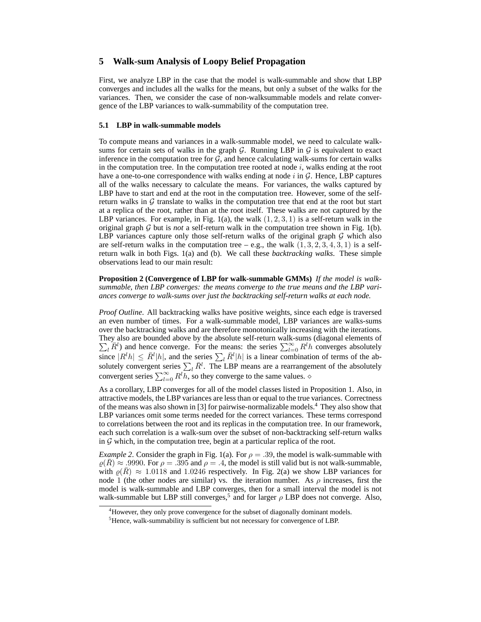## **5 Walk-sum Analysis of Loopy Belief Propagation**

First, we analyze LBP in the case that the model is walk-summable and show that LBP converges and includes all the walks for the means, but only a subset of the walks for the variances. Then, we consider the case of non-walksummable models and relate convergence of the LBP variances to walk-summability of the computation tree.

#### **5.1 LBP in walk-summable models**

To compute means and variances in a walk-summable model, we need to calculate walksums for certain sets of walks in the graph  $G$ . Running LBP in  $G$  is equivalent to exact inference in the computation tree for  $G$ , and hence calculating walk-sums for certain walks in the computation tree. In the computation tree rooted at node  $i$ , walks ending at the root have a one-to-one correspondence with walks ending at node  $i$  in  $\mathcal{G}$ . Hence, LBP captures all of the walks necessary to calculate the means. For variances, the walks captured by LBP have to start and end at the root in the computation tree. However, some of the selfreturn walks in  $G$  translate to walks in the computation tree that end at the root but start at a replica of the root, rather than at the root itself. These walks are not captured by the LBP variances. For example, in Fig. 1(a), the walk  $(1, 2, 3, 1)$  is a self-return walk in the original graph G but is *not* a self-return walk in the computation tree shown in Fig. 1(b). LBP variances capture only those self-return walks of the original graph  $G$  which also are self-return walks in the computation tree – e.g., the walk  $(1, 3, 2, 3, 4, 3, 1)$  is a selfreturn walk in both Figs. 1(a) and (b). We call these *backtracking walks*. These simple observations lead to our main result:

**Proposition 2 (Convergence of LBP for walk-summable GMMs)** *If the model is walksummable, then LBP converges: the means converge to the true means and the LBP variances converge to walk-sums over just the backtracking self-return walks at each node.*

*Proof Outline*. All backtracking walks have positive weights, since each edge is traversed an even number of times. For a walk-summable model, LBP variances are walks-sums over the backtracking walks and are therefore monotonically increasing with the iterations. They also are bounded above by the absolute self-return walk-sums (diagonal elements of  $\sum_{l=0} R^l h$  and hence converge. For the means: the series  $\sum_{l=0}^{\infty} R^l h$  converges absolutely since  $|R^l h| \leq \bar{R}^l |h|$ , and the series  $\sum_l \bar{R}^l |h|$  is a linear combination of terms of the absolutely convergent series  $\sum_l \bar{R}^l$ . The LBP means are a rearrangement of the absolutely convergent series  $\sum_{l=0}^{\infty} R^l \overline{h}$ , so they converge to the same values.  $\diamond$ 

As a corollary, LBP converges for all of the model classes listed in Proposition 1. Also, in attractive models, the LBP variances are less than or equal to the true variances. Correctness of the means was also shown in [3] for pairwise-normalizable models.<sup>4</sup> They also show that LBP variances omit some terms needed for the correct variances. These terms correspond to correlations between the root and its replicas in the computation tree. In our framework, each such correlation is a walk-sum over the subset of non-backtracking self-return walks in  $G$  which, in the computation tree, begin at a particular replica of the root.

*Example 2*. Consider the graph in Fig. 1(a). For  $\rho = .39$ , the model is walk-summable with  $\rho(R) \approx .9990$ . For  $\rho = .395$  and  $\rho = .4$ , the model is still valid but is not walk-summable, with  $\rho(\bar{R}) \approx 1.0118$  and 1.0246 respectively. In Fig. 2(a) we show LBP variances for node 1 (the other nodes are similar) vs. the iteration number. As  $\rho$  increases, first the model is walk-summable and LBP converges, then for a small interval the model is not walk-summable but LBP still converges,<sup>5</sup> and for larger  $\rho$  LBP does not converge. Also,

<sup>&</sup>lt;sup>4</sup>However, they only prove convergence for the subset of diagonally dominant models.

<sup>&</sup>lt;sup>5</sup>Hence, walk-summability is sufficient but not necessary for convergence of LBP.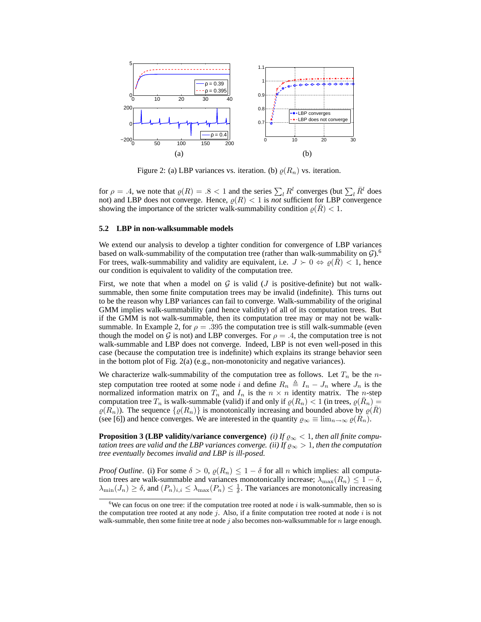

Figure 2: (a) LBP variances vs. iteration. (b)  $\rho(R_n)$  vs. iteration.

for  $\rho = .4$ , we note that  $\rho(R) = .8 < 1$  and the series  $\sum_l R^l$  converges (but  $\sum_l \bar{R}^l$  does not) and LBP does not converge. Hence,  $\rho(R) < 1$  is *not* sufficient for LBP convergence showing the importance of the stricter walk-summability condition  $\rho(\bar{R}) < 1$ .

#### **5.2 LBP in non-walksummable models**

We extend our analysis to develop a tighter condition for convergence of LBP variances based on walk-summability of the computation tree (rather than walk-summability on  $\mathcal{G}$ ).<sup>6</sup> For trees, walk-summability and validity are equivalent, i.e.  $J \succ 0 \Leftrightarrow \rho(\bar{R}) < 1$ , hence our condition is equivalent to validity of the computation tree.

First, we note that when a model on G is valid (J is positive-definite) but not walksummable, then some finite computation trees may be invalid (indefinite). This turns out to be the reason why LBP variances can fail to converge. Walk-summability of the original GMM implies walk-summability (and hence validity) of all of its computation trees. But if the GMM is not walk-summable, then its computation tree may or may not be walksummable. In Example 2, for  $\rho = .395$  the computation tree is still walk-summable (even though the model on G is not) and LBP converges. For  $\rho = .4$ , the computation tree is not walk-summable and LBP does not converge. Indeed, LBP is not even well-posed in this case (because the computation tree is indefinite) which explains its strange behavior seen in the bottom plot of Fig. 2(a) (e.g., non-monotonicity and negative variances).

We characterize walk-summability of the computation tree as follows. Let  $T_n$  be the nstep computation tree rooted at some node i and define  $R_n \triangleq I_n - J_n$  where  $J_n$  is the normalized information matrix on  $T_n$  and  $I_n$  is the  $n \times n$  identity matrix. The *n*-step computation tree  $T_n$  is walk-summable (valid) if and only if  $\rho(R_n) < 1$  (in trees,  $\rho(\bar{R}_n) =$  $\varrho(R_n)$ ). The sequence  $\{\varrho(R_n)\}\$ is monotonically increasing and bounded above by  $\varrho(\overline{R})$ (see [6]) and hence converges. We are interested in the quantity  $\varrho_{\infty} \equiv \lim_{n \to \infty} \varrho(R_n)$ .

**Proposition 3 (LBP validity/variance convergence)** *(i)* If  $\varrho_{\infty} < 1$ , then all finite compu*tation trees are valid and the LBP variances converge. (ii) If*  $\varrho_{\infty} > 1$ *, then the computation tree eventually becomes invalid and LBP is ill-posed.*

*Proof Outline*. (i) For some  $\delta > 0$ ,  $\varrho(R_n) \leq 1 - \delta$  for all n which implies: all computation trees are walk-summable and variances monotonically increase;  $\lambda_{\max}(R_n) \leq 1 - \delta$ ,  $\lambda_{\min}(J_n) \ge \delta$ , and  $(P_n)_{i,i} \le \lambda_{\max}(P_n) \le \frac{1}{\delta}$ . The variances are monotonically increasing

<sup>&</sup>lt;sup>6</sup>We can focus on one tree: if the computation tree rooted at node  $i$  is walk-summable, then so is the computation tree rooted at any node  $\overline{j}$ . Also, if a finite computation tree rooted at node i is not walk-summable, then some finite tree at node  $j$  also becomes non-walksummable for  $n$  large enough.